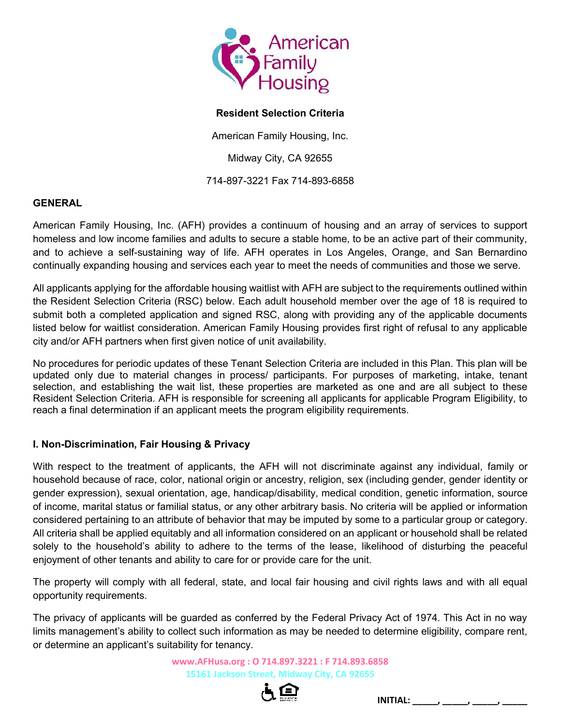

# Resident Selection Criteria

American Family Housing, Inc.

Midway City, CA 92655

714-897-3221 Fax 714-893-6858

# **GENERAL**

American Family Housing, Inc. (AFH) provides a continuum of housing and an array of services to support homeless and low income families and adults to secure a stable home, to be an active part of their community, and to achieve a self-sustaining way of life. AFH operates in Los Angeles, Orange, and San Bernardino continually expanding housing and services each year to meet the needs of communities and those we serve.

All applicants applying for the affordable housing waitlist with AFH are subject to the requirements outlined within the Resident Selection Criteria (RSC) below. Each adult household member over the age of 18 is required to submit both a completed application and signed RSC, along with providing any of the applicable documents listed below for waitlist consideration. American Family Housing provides first right of refusal to any applicable city and/or AFH partners when first given notice of unit availability.

No procedures for periodic updates of these Tenant Selection Criteria are included in this Plan. This plan will be updated only due to material changes in process/ participants. For purposes of marketing, intake, tenant selection, and establishing the wait list, these properties are marketed as one and are all subject to these Resident Selection Criteria. AFH is responsible for screening all applicants for applicable Program Eligibility, to reach a final determination if an applicant meets the program eligibility requirements.

# I. Non-Discrimination, Fair Housing & Privacy

With respect to the treatment of applicants, the AFH will not discriminate against any individual, family or household because of race, color, national origin or ancestry, religion, sex (including gender, gender identity or gender expression), sexual orientation, age, handicap/disability, medical condition, genetic information, source of income, marital status or familial status, or any other arbitrary basis. No criteria will be applied or information considered pertaining to an attribute of behavior that may be imputed by some to a particular group or category. All criteria shall be applied equitably and all information considered on an applicant or household shall be related solely to the household's ability to adhere to the terms of the lease, likelihood of disturbing the peaceful enjoyment of other tenants and ability to care for or provide care for the unit.

The property will comply with all federal, state, and local fair housing and civil rights laws and with all equal opportunity requirements.

The privacy of applicants will be guarded as conferred by the Federal Privacy Act of 1974. This Act in no way limits management's ability to collect such information as may be needed to determine eligibility, compare rent, or determine an applicant's suitability for tenancy.

> www.AFHusa.org : O 714.897.3221 : F 714.893.6858 15161 Jackson Street, Midway City, CA 92655

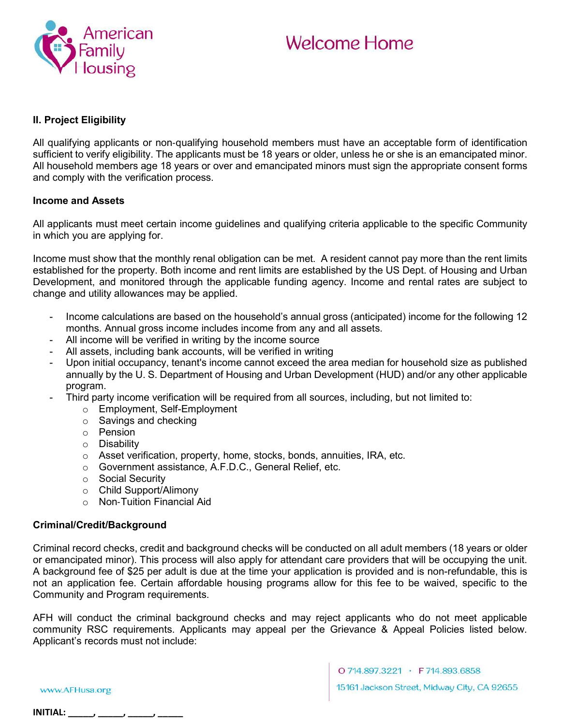

# II. Project Eligibility

All qualifying applicants or non‐qualifying household members must have an acceptable form of identification sufficient to verify eligibility. The applicants must be 18 years or older, unless he or she is an emancipated minor. All household members age 18 years or over and emancipated minors must sign the appropriate consent forms and comply with the verification process.

#### Income and Assets

All applicants must meet certain income guidelines and qualifying criteria applicable to the specific Community in which you are applying for.

Income must show that the monthly renal obligation can be met. A resident cannot pay more than the rent limits established for the property. Both income and rent limits are established by the US Dept. of Housing and Urban Development, and monitored through the applicable funding agency. Income and rental rates are subject to change and utility allowances may be applied.

- Income calculations are based on the household's annual gross (anticipated) income for the following 12 months. Annual gross income includes income from any and all assets.
- All income will be verified in writing by the income source
- All assets, including bank accounts, will be verified in writing
- Upon initial occupancy, tenant's income cannot exceed the area median for household size as published annually by the U. S. Department of Housing and Urban Development (HUD) and/or any other applicable program.
- Third party income verification will be required from all sources, including, but not limited to:
	- o Employment, Self-Employment
	- o Savings and checking
	- o Pension
	- o Disability
	- o Asset verification, property, home, stocks, bonds, annuities, IRA, etc.
	- o Government assistance, A.F.D.C., General Relief, etc.
	- o Social Security
	- o Child Support/Alimony
	- o Non‐Tuition Financial Aid

#### Criminal/Credit/Background

Criminal record checks, credit and background checks will be conducted on all adult members (18 years or older or emancipated minor). This process will also apply for attendant care providers that will be occupying the unit. A background fee of \$25 per adult is due at the time your application is provided and is non-refundable, this is not an application fee. Certain affordable housing programs allow for this fee to be waived, specific to the Community and Program requirements.

AFH will conduct the criminal background checks and may reject applicants who do not meet applicable community RSC requirements. Applicants may appeal per the Grievance & Appeal Policies listed below. Applicant's records must not include:

www.AFHusa.org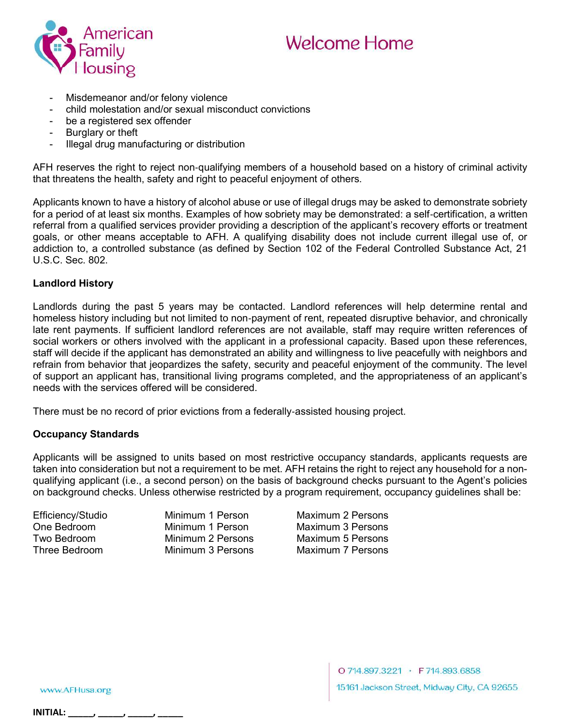

- Misdemeanor and/or felony violence
- child molestation and/or sexual misconduct convictions
- be a registered sex offender
- Burglary or theft
- Illegal drug manufacturing or distribution

AFH reserves the right to reject non‐qualifying members of a household based on a history of criminal activity that threatens the health, safety and right to peaceful enjoyment of others.

Applicants known to have a history of alcohol abuse or use of illegal drugs may be asked to demonstrate sobriety for a period of at least six months. Examples of how sobriety may be demonstrated: a self-certification, a written referral from a qualified services provider providing a description of the applicant's recovery efforts or treatment goals, or other means acceptable to AFH. A qualifying disability does not include current illegal use of, or addiction to, a controlled substance (as defined by Section 102 of the Federal Controlled Substance Act, 21 U.S.C. Sec. 802.

# Landlord History

Landlords during the past 5 years may be contacted. Landlord references will help determine rental and homeless history including but not limited to non-payment of rent, repeated disruptive behavior, and chronically late rent payments. If sufficient landlord references are not available, staff may require written references of social workers or others involved with the applicant in a professional capacity. Based upon these references, staff will decide if the applicant has demonstrated an ability and willingness to live peacefully with neighbors and refrain from behavior that jeopardizes the safety, security and peaceful enjoyment of the community. The level of support an applicant has, transitional living programs completed, and the appropriateness of an applicant's needs with the services offered will be considered.

There must be no record of prior evictions from a federally‐assisted housing project.

# Occupancy Standards

Applicants will be assigned to units based on most restrictive occupancy standards, applicants requests are taken into consideration but not a requirement to be met. AFH retains the right to reject any household for a nonqualifying applicant (i.e., a second person) on the basis of background checks pursuant to the Agent's policies on background checks. Unless otherwise restricted by a program requirement, occupancy guidelines shall be:

Efficiency/Studio Minimum 1 Person Maximum 2 Persons One Bedroom Minimum 1 Person Maximum 3 Persons<br>
Two Bedroom Minimum 2 Persons Maximum 5 Persons Two Bedroom Minimum 2 Persons Maximum 5 Persons Maximum 7 Persons

www.AFHusa.org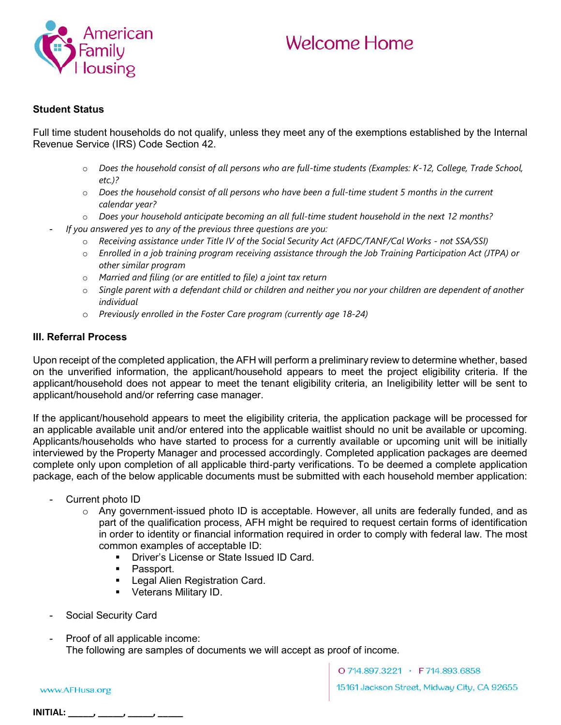

# Student Status

Full time student households do not qualify, unless they meet any of the exemptions established by the Internal Revenue Service (IRS) Code Section 42.

- o Does the household consist of all persons who are full-time students (Examples: K-12, College, Trade School, etc.)?
- $\circ$  Does the household consist of all persons who have been a full-time student 5 months in the current calendar year?
- o Does your household anticipate becoming an all full-time student household in the next 12 months?
- If you answered yes to any of the previous three questions are you:
	- o Receiving assistance under Title IV of the Social Security Act (AFDC/TANF/Cal Works not SSA/SSI)
	- o Enrolled in a job training program receiving assistance through the Job Training Participation Act (JTPA) or other similar program
	- o Married and filing (or are entitled to file) a joint tax return
	- $\circ$  Single parent with a defendant child or children and neither you nor your children are dependent of another individual
	- o Previously enrolled in the Foster Care program (currently age 18-24)

# III. Referral Process

Upon receipt of the completed application, the AFH will perform a preliminary review to determine whether, based on the unverified information, the applicant/household appears to meet the project eligibility criteria. If the applicant/household does not appear to meet the tenant eligibility criteria, an Ineligibility letter will be sent to applicant/household and/or referring case manager.

If the applicant/household appears to meet the eligibility criteria, the application package will be processed for an applicable available unit and/or entered into the applicable waitlist should no unit be available or upcoming. Applicants/households who have started to process for a currently available or upcoming unit will be initially interviewed by the Property Manager and processed accordingly. Completed application packages are deemed complete only upon completion of all applicable third‐party verifications. To be deemed a complete application package, each of the below applicable documents must be submitted with each household member application:

- Current photo ID
	- o Any government‐issued photo ID is acceptable. However, all units are federally funded, and as part of the qualification process, AFH might be required to request certain forms of identification in order to identity or financial information required in order to comply with federal law. The most common examples of acceptable ID:
		- **Driver's License or State Issued ID Card.**
		- Passport.
		- **Legal Alien Registration Card.**
		- **•** Veterans Military ID.
- Social Security Card
- Proof of all applicable income: The following are samples of documents we will accept as proof of income.

www.AFHusa.org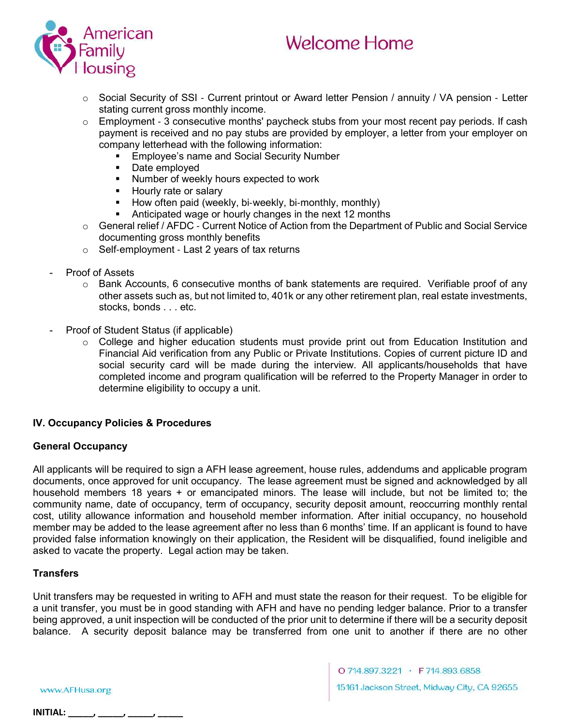



- o Social Security of SSI ‐ Current printout or Award letter Pension / annuity / VA pension ‐ Letter stating current gross monthly income.
- o Employment ‐ 3 consecutive months' paycheck stubs from your most recent pay periods. If cash payment is received and no pay stubs are provided by employer, a letter from your employer on company letterhead with the following information:
	- Employee's name and Social Security Number
	- **Date employed**
	- **Number of weekly hours expected to work**
	- **Hourly rate or salary**
	- How often paid (weekly, bi-weekly, bi-monthly, monthly)<br>■ Anticipated wage or hourly changes in the next 12 month
	- Anticipated wage or hourly changes in the next 12 months
- o General relief / AFDC ‐ Current Notice of Action from the Department of Public and Social Service documenting gross monthly benefits
- o Self‐employment ‐ Last 2 years of tax returns
- Proof of Assets
	- $\circ$  Bank Accounts, 6 consecutive months of bank statements are required. Verifiable proof of any other assets such as, but not limited to, 401k or any other retirement plan, real estate investments, stocks, bonds . . . etc.
- Proof of Student Status (if applicable)
	- o College and higher education students must provide print out from Education Institution and Financial Aid verification from any Public or Private Institutions. Copies of current picture ID and social security card will be made during the interview. All applicants/households that have completed income and program qualification will be referred to the Property Manager in order to determine eligibility to occupy a unit.

# IV. Occupancy Policies & Procedures

#### General Occupancy

All applicants will be required to sign a AFH lease agreement, house rules, addendums and applicable program documents, once approved for unit occupancy. The lease agreement must be signed and acknowledged by all household members 18 years + or emancipated minors. The lease will include, but not be limited to; the community name, date of occupancy, term of occupancy, security deposit amount, reoccurring monthly rental cost, utility allowance information and household member information. After initial occupancy, no household member may be added to the lease agreement after no less than 6 months' time. If an applicant is found to have provided false information knowingly on their application, the Resident will be disqualified, found ineligible and asked to vacate the property. Legal action may be taken.

# **Transfers**

Unit transfers may be requested in writing to AFH and must state the reason for their request. To be eligible for a unit transfer, you must be in good standing with AFH and have no pending ledger balance. Prior to a transfer being approved, a unit inspection will be conducted of the prior unit to determine if there will be a security deposit balance. A security deposit balance may be transferred from one unit to another if there are no other

www.AFHusa.org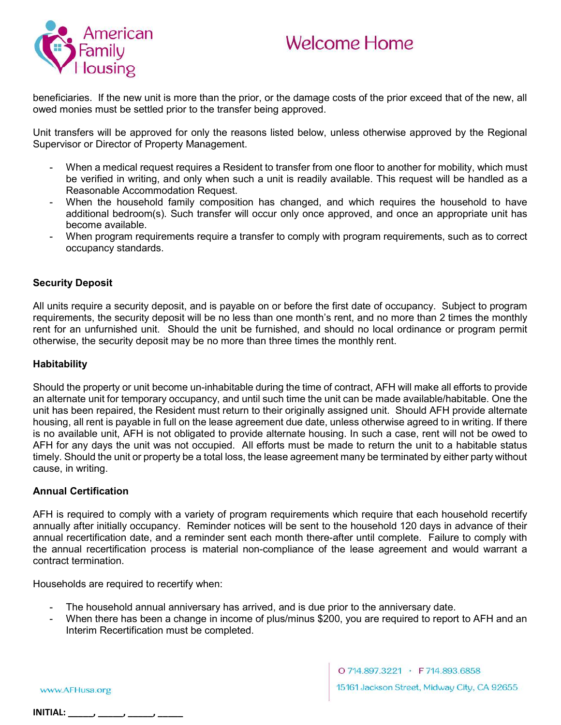

beneficiaries. If the new unit is more than the prior, or the damage costs of the prior exceed that of the new, all owed monies must be settled prior to the transfer being approved.

Unit transfers will be approved for only the reasons listed below, unless otherwise approved by the Regional Supervisor or Director of Property Management.

- When a medical request requires a Resident to transfer from one floor to another for mobility, which must be verified in writing, and only when such a unit is readily available. This request will be handled as a Reasonable Accommodation Request.
- When the household family composition has changed, and which requires the household to have additional bedroom(s). Such transfer will occur only once approved, and once an appropriate unit has become available.
- When program requirements require a transfer to comply with program requirements, such as to correct occupancy standards.

# Security Deposit

All units require a security deposit, and is payable on or before the first date of occupancy. Subject to program requirements, the security deposit will be no less than one month's rent, and no more than 2 times the monthly rent for an unfurnished unit. Should the unit be furnished, and should no local ordinance or program permit otherwise, the security deposit may be no more than three times the monthly rent.

#### Habitability

Should the property or unit become un-inhabitable during the time of contract, AFH will make all efforts to provide an alternate unit for temporary occupancy, and until such time the unit can be made available/habitable. One the unit has been repaired, the Resident must return to their originally assigned unit. Should AFH provide alternate housing, all rent is payable in full on the lease agreement due date, unless otherwise agreed to in writing. If there is no available unit, AFH is not obligated to provide alternate housing. In such a case, rent will not be owed to AFH for any days the unit was not occupied. All efforts must be made to return the unit to a habitable status timely. Should the unit or property be a total loss, the lease agreement many be terminated by either party without cause, in writing.

#### Annual Certification

AFH is required to comply with a variety of program requirements which require that each household recertify annually after initially occupancy. Reminder notices will be sent to the household 120 days in advance of their annual recertification date, and a reminder sent each month there-after until complete. Failure to comply with the annual recertification process is material non-compliance of the lease agreement and would warrant a contract termination.

Households are required to recertify when:

- The household annual anniversary has arrived, and is due prior to the anniversary date.
- When there has been a change in income of plus/minus \$200, you are required to report to AFH and an Interim Recertification must be completed.

www.AFHusa.org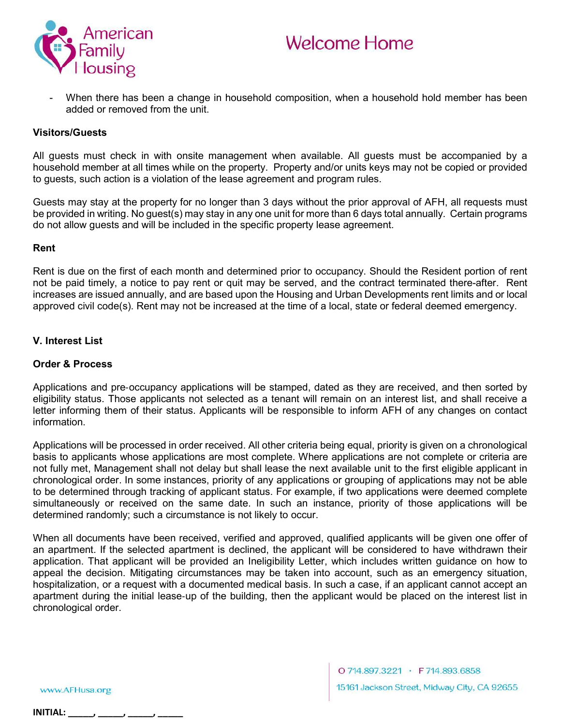

When there has been a change in household composition, when a household hold member has been added or removed from the unit.

#### Visitors/Guests

All guests must check in with onsite management when available. All guests must be accompanied by a household member at all times while on the property. Property and/or units keys may not be copied or provided to guests, such action is a violation of the lease agreement and program rules.

Guests may stay at the property for no longer than 3 days without the prior approval of AFH, all requests must be provided in writing. No guest(s) may stay in any one unit for more than 6 days total annually. Certain programs do not allow guests and will be included in the specific property lease agreement.

#### Rent

Rent is due on the first of each month and determined prior to occupancy. Should the Resident portion of rent not be paid timely, a notice to pay rent or quit may be served, and the contract terminated there-after. Rent increases are issued annually, and are based upon the Housing and Urban Developments rent limits and or local approved civil code(s). Rent may not be increased at the time of a local, state or federal deemed emergency.

#### V. Interest List

#### Order & Process

Applications and pre‐occupancy applications will be stamped, dated as they are received, and then sorted by eligibility status. Those applicants not selected as a tenant will remain on an interest list, and shall receive a letter informing them of their status. Applicants will be responsible to inform AFH of any changes on contact information.

Applications will be processed in order received. All other criteria being equal, priority is given on a chronological basis to applicants whose applications are most complete. Where applications are not complete or criteria are not fully met, Management shall not delay but shall lease the next available unit to the first eligible applicant in chronological order. In some instances, priority of any applications or grouping of applications may not be able to be determined through tracking of applicant status. For example, if two applications were deemed complete simultaneously or received on the same date. In such an instance, priority of those applications will be determined randomly; such a circumstance is not likely to occur.

When all documents have been received, verified and approved, qualified applicants will be given one offer of an apartment. If the selected apartment is declined, the applicant will be considered to have withdrawn their application. That applicant will be provided an Ineligibility Letter, which includes written guidance on how to appeal the decision. Mitigating circumstances may be taken into account, such as an emergency situation, hospitalization, or a request with a documented medical basis. In such a case, if an applicant cannot accept an apartment during the initial lease‐up of the building, then the applicant would be placed on the interest list in chronological order.

www.AFHusa.org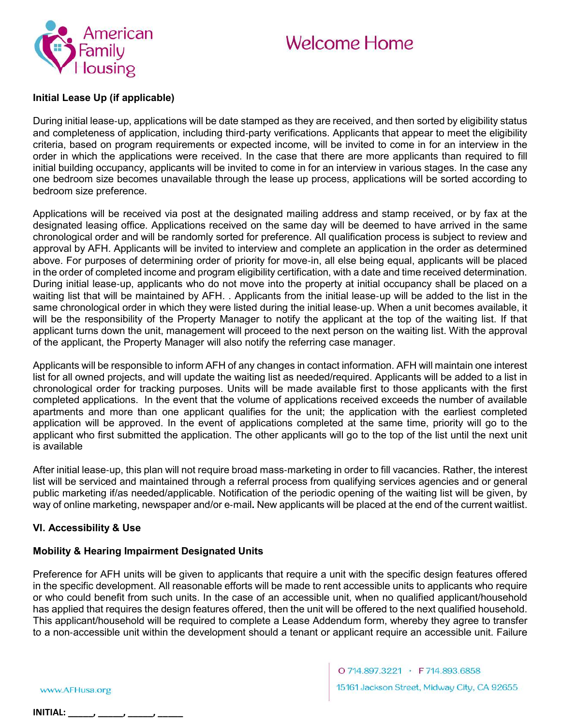

#### Initial Lease Up (if applicable)

During initial lease-up, applications will be date stamped as they are received, and then sorted by eligibility status and completeness of application, including third‐party verifications. Applicants that appear to meet the eligibility criteria, based on program requirements or expected income, will be invited to come in for an interview in the order in which the applications were received. In the case that there are more applicants than required to fill initial building occupancy, applicants will be invited to come in for an interview in various stages. In the case any one bedroom size becomes unavailable through the lease up process, applications will be sorted according to bedroom size preference.

Applications will be received via post at the designated mailing address and stamp received, or by fax at the designated leasing office. Applications received on the same day will be deemed to have arrived in the same chronological order and will be randomly sorted for preference. All qualification process is subject to review and approval by AFH. Applicants will be invited to interview and complete an application in the order as determined above. For purposes of determining order of priority for move‐in, all else being equal, applicants will be placed in the order of completed income and program eligibility certification, with a date and time received determination. During initial lease‐up, applicants who do not move into the property at initial occupancy shall be placed on a waiting list that will be maintained by AFH. . Applicants from the initial lease-up will be added to the list in the same chronological order in which they were listed during the initial lease-up. When a unit becomes available, it will be the responsibility of the Property Manager to notify the applicant at the top of the waiting list. If that applicant turns down the unit, management will proceed to the next person on the waiting list. With the approval of the applicant, the Property Manager will also notify the referring case manager.

Applicants will be responsible to inform AFH of any changes in contact information. AFH will maintain one interest list for all owned projects, and will update the waiting list as needed/required. Applicants will be added to a list in chronological order for tracking purposes. Units will be made available first to those applicants with the first completed applications. In the event that the volume of applications received exceeds the number of available apartments and more than one applicant qualifies for the unit; the application with the earliest completed application will be approved. In the event of applications completed at the same time, priority will go to the applicant who first submitted the application. The other applicants will go to the top of the list until the next unit is available

After initial lease‐up, this plan will not require broad mass‐marketing in order to fill vacancies. Rather, the interest list will be serviced and maintained through a referral process from qualifying services agencies and or general public marketing if/as needed/applicable. Notification of the periodic opening of the waiting list will be given, by way of online marketing, newspaper and/or e‐mail. New applicants will be placed at the end of the current waitlist.

# VI. Accessibility & Use

# Mobility & Hearing Impairment Designated Units

Preference for AFH units will be given to applicants that require a unit with the specific design features offered in the specific development. All reasonable efforts will be made to rent accessible units to applicants who require or who could benefit from such units. In the case of an accessible unit, when no qualified applicant/household has applied that requires the design features offered, then the unit will be offered to the next qualified household. This applicant/household will be required to complete a Lease Addendum form, whereby they agree to transfer to a non-accessible unit within the development should a tenant or applicant require an accessible unit. Failure

www.AFHusa.org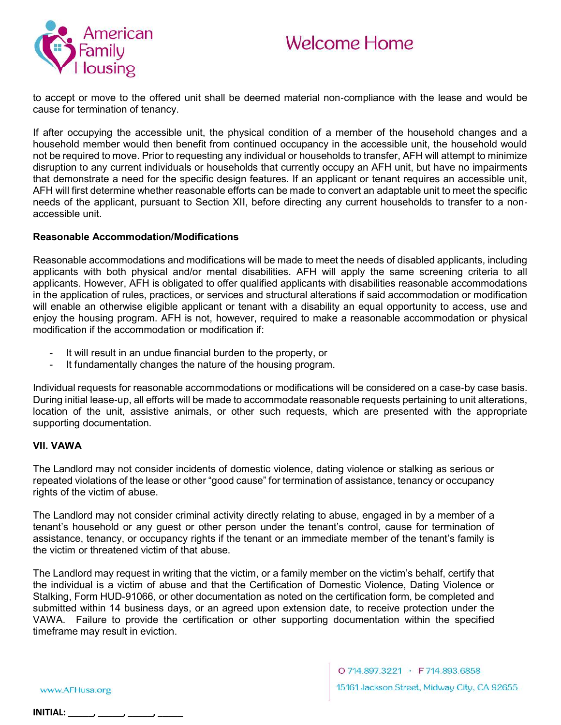



to accept or move to the offered unit shall be deemed material non‐compliance with the lease and would be cause for termination of tenancy.

If after occupying the accessible unit, the physical condition of a member of the household changes and a household member would then benefit from continued occupancy in the accessible unit, the household would not be required to move. Prior to requesting any individual or households to transfer, AFH will attempt to minimize disruption to any current individuals or households that currently occupy an AFH unit, but have no impairments that demonstrate a need for the specific design features. If an applicant or tenant requires an accessible unit, AFH will first determine whether reasonable efforts can be made to convert an adaptable unit to meet the specific needs of the applicant, pursuant to Section XII, before directing any current households to transfer to a non‐ accessible unit.

#### Reasonable Accommodation/Modifications

Reasonable accommodations and modifications will be made to meet the needs of disabled applicants, including applicants with both physical and/or mental disabilities. AFH will apply the same screening criteria to all applicants. However, AFH is obligated to offer qualified applicants with disabilities reasonable accommodations in the application of rules, practices, or services and structural alterations if said accommodation or modification will enable an otherwise eligible applicant or tenant with a disability an equal opportunity to access, use and enjoy the housing program. AFH is not, however, required to make a reasonable accommodation or physical modification if the accommodation or modification if:

- It will result in an undue financial burden to the property, or
- It fundamentally changes the nature of the housing program.

Individual requests for reasonable accommodations or modifications will be considered on a case‐by case basis. During initial lease‐up, all efforts will be made to accommodate reasonable requests pertaining to unit alterations, location of the unit, assistive animals, or other such requests, which are presented with the appropriate supporting documentation.

#### VII. VAWA

The Landlord may not consider incidents of domestic violence, dating violence or stalking as serious or repeated violations of the lease or other "good cause" for termination of assistance, tenancy or occupancy rights of the victim of abuse.

The Landlord may not consider criminal activity directly relating to abuse, engaged in by a member of a tenant's household or any guest or other person under the tenant's control, cause for termination of assistance, tenancy, or occupancy rights if the tenant or an immediate member of the tenant's family is the victim or threatened victim of that abuse.

The Landlord may request in writing that the victim, or a family member on the victim's behalf, certify that the individual is a victim of abuse and that the Certification of Domestic Violence, Dating Violence or Stalking, Form HUD-91066, or other documentation as noted on the certification form, be completed and submitted within 14 business days, or an agreed upon extension date, to receive protection under the VAWA. Failure to provide the certification or other supporting documentation within the specified timeframe may result in eviction.

www.AFHusa.org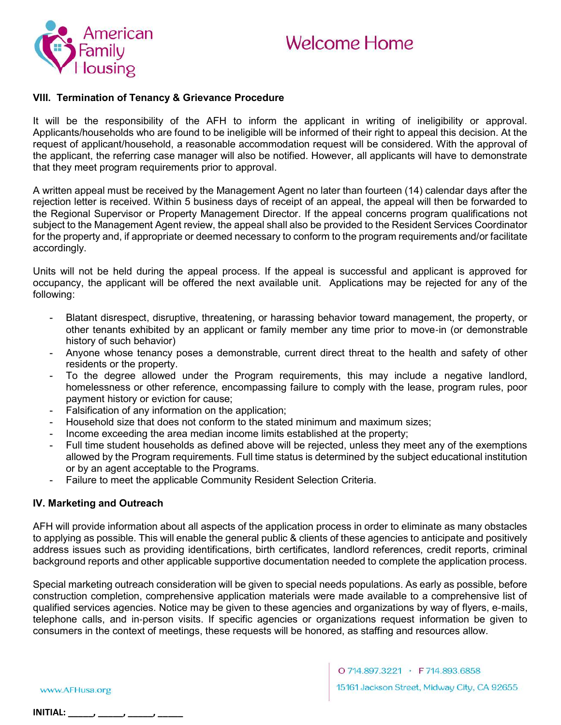

### VIII. Termination of Tenancy & Grievance Procedure

It will be the responsibility of the AFH to inform the applicant in writing of ineligibility or approval. Applicants/households who are found to be ineligible will be informed of their right to appeal this decision. At the request of applicant/household, a reasonable accommodation request will be considered. With the approval of the applicant, the referring case manager will also be notified. However, all applicants will have to demonstrate that they meet program requirements prior to approval.

A written appeal must be received by the Management Agent no later than fourteen (14) calendar days after the rejection letter is received. Within 5 business days of receipt of an appeal, the appeal will then be forwarded to the Regional Supervisor or Property Management Director. If the appeal concerns program qualifications not subject to the Management Agent review, the appeal shall also be provided to the Resident Services Coordinator for the property and, if appropriate or deemed necessary to conform to the program requirements and/or facilitate accordingly.

Units will not be held during the appeal process. If the appeal is successful and applicant is approved for occupancy, the applicant will be offered the next available unit. Applications may be rejected for any of the following:

- Blatant disrespect, disruptive, threatening, or harassing behavior toward management, the property, or other tenants exhibited by an applicant or family member any time prior to move‐in (or demonstrable history of such behavior)
- Anyone whose tenancy poses a demonstrable, current direct threat to the health and safety of other residents or the property.
- To the degree allowed under the Program requirements, this may include a negative landlord, homelessness or other reference, encompassing failure to comply with the lease, program rules, poor payment history or eviction for cause;
- Falsification of any information on the application;
- Household size that does not conform to the stated minimum and maximum sizes;
- Income exceeding the area median income limits established at the property;
- Full time student households as defined above will be rejected, unless they meet any of the exemptions allowed by the Program requirements. Full time status is determined by the subject educational institution or by an agent acceptable to the Programs.
- Failure to meet the applicable Community Resident Selection Criteria.

# IV. Marketing and Outreach

AFH will provide information about all aspects of the application process in order to eliminate as many obstacles to applying as possible. This will enable the general public & clients of these agencies to anticipate and positively address issues such as providing identifications, birth certificates, landlord references, credit reports, criminal background reports and other applicable supportive documentation needed to complete the application process.

Special marketing outreach consideration will be given to special needs populations. As early as possible, before construction completion, comprehensive application materials were made available to a comprehensive list of qualified services agencies. Notice may be given to these agencies and organizations by way of flyers, e‐mails, telephone calls, and in‐person visits. If specific agencies or organizations request information be given to consumers in the context of meetings, these requests will be honored, as staffing and resources allow.

www.AFHusa.org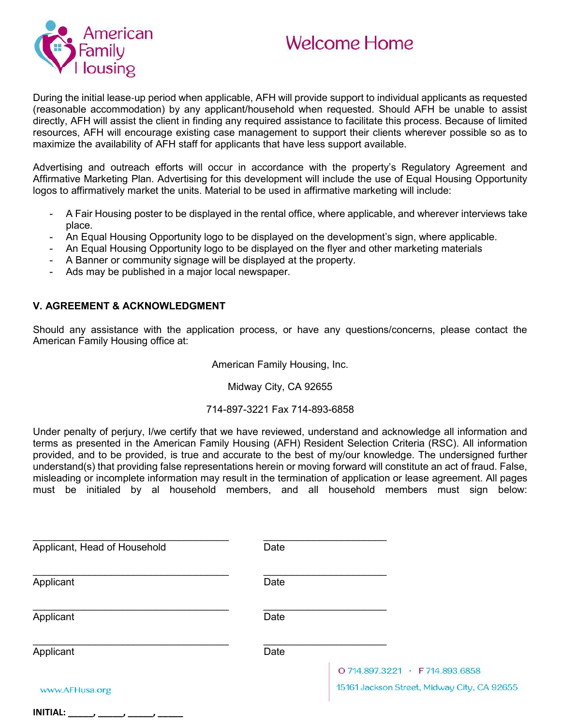

During the initial lease‐up period when applicable, AFH will provide support to individual applicants as requested (reasonable accommodation) by any applicant/household when requested. Should AFH be unable to assist directly, AFH will assist the client in finding any required assistance to facilitate this process. Because of limited resources, AFH will encourage existing case management to support their clients wherever possible so as to maximize the availability of AFH staff for applicants that have less support available.

Advertising and outreach efforts will occur in accordance with the property's Regulatory Agreement and Affirmative Marketing Plan. Advertising for this development will include the use of Equal Housing Opportunity logos to affirmatively market the units. Material to be used in affirmative marketing will include:

- A Fair Housing poster to be displayed in the rental office, where applicable, and wherever interviews take place.
- An Equal Housing Opportunity logo to be displayed on the development's sign, where applicable.
- An Equal Housing Opportunity logo to be displayed on the flyer and other marketing materials
- A Banner or community signage will be displayed at the property.
- Ads may be published in a major local newspaper.

#### V. AGREEMENT & ACKNOWLEDGMENT

Should any assistance with the application process, or have any questions/concerns, please contact the American Family Housing office at:

American Family Housing, Inc.

Midway City, CA 92655

#### 714-897-3221 Fax 714-893-6858

Under penalty of perjury, I/we certify that we have reviewed, understand and acknowledge all information and terms as presented in the American Family Housing (AFH) Resident Selection Criteria (RSC). All information provided, and to be provided, is true and accurate to the best of my/our knowledge. The undersigned further understand(s) that providing false representations herein or moving forward will constitute an act of fraud. False, misleading or incomplete information may result in the termination of application or lease agreement. All pages must be initialed by al household members, and all household members must sign below:

| Applicant, Head of Household | Date |                                                                                |
|------------------------------|------|--------------------------------------------------------------------------------|
| Applicant                    | Date |                                                                                |
| Applicant                    | Date |                                                                                |
| Applicant                    | Date |                                                                                |
| www.AFHusa.org               |      | O 714.897.3221 · F 714.893.6858<br>15161 Jackson Street, Midway City, CA 92655 |

# $INTIAL:$  \_\_\_\_\_, \_\_\_\_, \_\_\_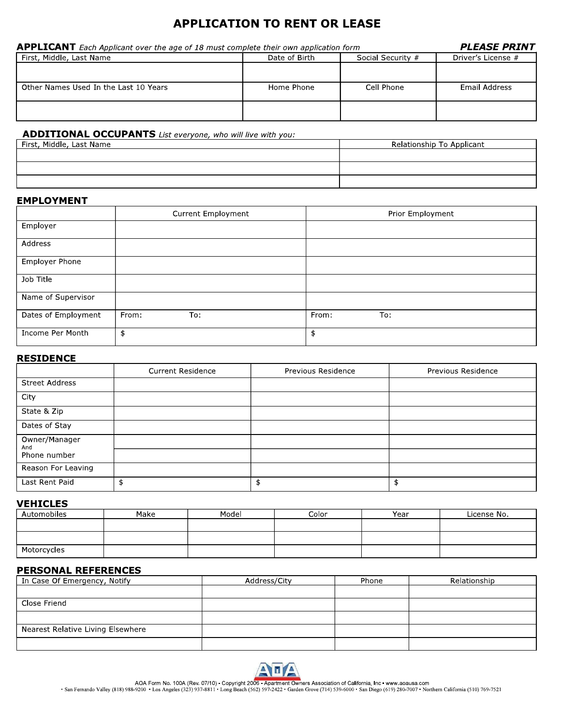# **APPLICATION TO RENT OR LEASE**

| <b>APPLICANT</b> Each Applicant over the age of 18 must complete their own application form | <i><b>PLEASE PRINT</b></i> |                   |                    |
|---------------------------------------------------------------------------------------------|----------------------------|-------------------|--------------------|
| First, Middle, Last Name                                                                    | Date of Birth              | Social Security # | Driver's License # |
|                                                                                             |                            |                   |                    |
| Other Names Used In the Last 10 Years                                                       | Home Phone                 | Cell Phone        | Email Address      |
|                                                                                             |                            |                   |                    |

## ADDITIONAL OCCUPANTS List everyone, who will live with you:

| <sup>1</sup> First, Middle, Last Name | Relationship To Applicant |
|---------------------------------------|---------------------------|
|                                       |                           |
|                                       |                           |
|                                       |                           |
|                                       |                           |

#### **EMPLOYMENT**

|                       | Current Employment | Prior Employment |
|-----------------------|--------------------|------------------|
| Employer              |                    |                  |
| Address               |                    |                  |
| <b>Employer Phone</b> |                    |                  |
| Job Title             |                    |                  |
| Name of Supervisor    |                    |                  |
| Dates of Employment   | From:<br>To:       | From:<br>To:     |
| Income Per Month      | \$                 | \$               |

#### **RESIDENCE**

|                       | <b>Current Residence</b> | Previous Residence | Previous Residence |
|-----------------------|--------------------------|--------------------|--------------------|
| <b>Street Address</b> |                          |                    |                    |
| City                  |                          |                    |                    |
| State & Zip           |                          |                    |                    |
| Dates of Stay         |                          |                    |                    |
| Owner/Manager<br>And  |                          |                    |                    |
| Phone number          |                          |                    |                    |
| Reason For Leaving    |                          |                    |                    |
| Last Rent Paid        |                          | \$                 |                    |

#### **VEHICLES**

| Automobiles | Make | Model | Color | Year | License No. |
|-------------|------|-------|-------|------|-------------|
|             |      |       |       |      |             |
|             |      |       |       |      |             |
| Motorcycles |      |       |       |      |             |

#### **PERSONAL REFERENCES**

| In Case Of Emergency, Notify      | Address/City | Phone | Relationship |
|-----------------------------------|--------------|-------|--------------|
|                                   |              |       |              |
| Close Friend                      |              |       |              |
|                                   |              |       |              |
| Nearest Relative Living Elsewhere |              |       |              |
|                                   |              |       |              |



AOA Form No. 100A (Rev. 07/10) - Copyright 2006 - Apartment Owners Association of California, Inc . www.aoausa.com<br>San Fernando Valley (818) 988-9200 - Los Angeles (323) 937-8811 - Long Beach (562) 597-2422 - Garden Grove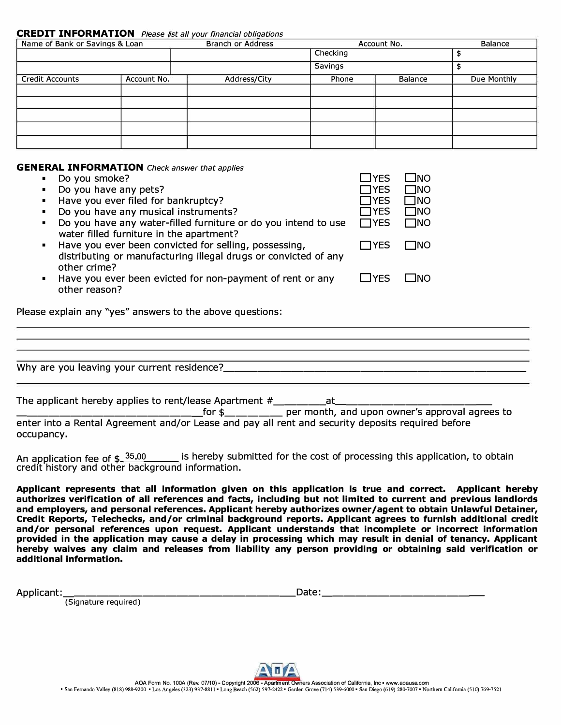#### **CREDIT INFORMATION** Please list all your financial obligations

| Name of Bank or Savings & Loan |             | <b>Branch or Address</b> |                | Account No.    |             |
|--------------------------------|-------------|--------------------------|----------------|----------------|-------------|
|                                |             |                          | Checking       |                |             |
|                                |             |                          | <b>Savings</b> |                |             |
| <b>Credit Accounts</b>         | Account No. | Address/City             | Phone          | <b>Balance</b> | Due Monthly |
|                                |             |                          |                |                |             |
|                                |             |                          |                |                |             |
|                                |             |                          |                |                |             |
|                                |             |                          |                |                |             |
|                                |             |                          |                |                |             |

#### **GENERAL INFORMATION** *Check answer that applies*

|                | <b>NERAL INFORMATION</b> Check answer that applies                                                                                       |              |             |
|----------------|------------------------------------------------------------------------------------------------------------------------------------------|--------------|-------------|
|                | Do you smoke?                                                                                                                            | <b>TYES</b>  | -INO        |
|                | Do you have any pets?                                                                                                                    | <b>TYES</b>  | <b>TINO</b> |
| ٠              | Have you ever filed for bankruptcy?                                                                                                      | <b>TYES</b>  | ⊟NO         |
|                | Do you have any musical instruments?                                                                                                     | IYES         | $\Box$ NO   |
| ٠.             | Do you have any water-filled furniture or do you intend to use<br>water filled furniture in the apartment?                               | $\Box$ YES   | – Ino       |
| $\blacksquare$ | Have you ever been convicted for selling, possessing,<br>distributing or manufacturing illegal drugs or convicted of any<br>other crime? | $\sqcap$ YES | ⊟NO         |
| п.             | Have you ever been evicted for non-payment of rent or any<br>other reason?                                                               | TYES         | - INO       |

Please explain any "yes" answers to the above questions:

Why are you leaving your current residence? \_\_\_\_\_\_\_\_\_\_\_\_\_\_\_\_\_\_\_\_\_\_\_\_\_\_ \_

| The applicant hereby applies to rent/lease Apartment #______________at                            |                                                                               |
|---------------------------------------------------------------------------------------------------|-------------------------------------------------------------------------------|
|                                                                                                   | for $\frac{1}{2}$ ____________ per month, and upon owner's approval agrees to |
| enter into a Rental Agreement and/or Lease and pay all rent and security deposits required before |                                                                               |
| occupancy.                                                                                        |                                                                               |

An application fee of \$ 35.00 is hereby submitted for the cost of processing this application, to obtain credit history and other background information.

**Applicant represents that all information given on this application is true and correct. Applicant hereby authorizes verification of all references and facts, including but not limited to current and previous landlords and employers, and personal references. Applicant hereby authorizes owner/agent to obtain Unlawful Detainer, Credit Reports, Telechecks, and/or criminal background reports. Applicant agrees to furnish additional credit and/or personal references upon request. Applicant understands that incomplete or incorrect information provided in the application may cause a delay in processing which may result in denial of tenancy. Applicant hereby waives any claim and releases from liability any person providing or obtaining said verification or additional information.** 

Applicant:

 $Date:$ 

(Signature required)

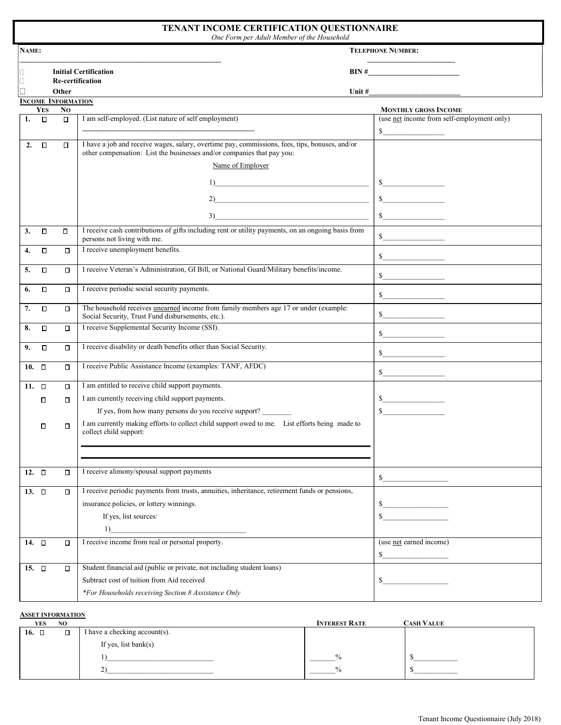| NAME:      |                                                                              |                                             |                                                                                                                                                                          | <b>TELEPHONE NUMBER:</b>                                                                                                                                                                                                                                                                                                                                            |
|------------|------------------------------------------------------------------------------|---------------------------------------------|--------------------------------------------------------------------------------------------------------------------------------------------------------------------------|---------------------------------------------------------------------------------------------------------------------------------------------------------------------------------------------------------------------------------------------------------------------------------------------------------------------------------------------------------------------|
|            | <b>Initial Certification</b><br>$\mathbf{BIN} \#$<br><b>Re-certification</b> |                                             |                                                                                                                                                                          |                                                                                                                                                                                                                                                                                                                                                                     |
|            |                                                                              | Other                                       |                                                                                                                                                                          | Unit $#$                                                                                                                                                                                                                                                                                                                                                            |
|            | <b>YES</b>                                                                   | <b>INCOME INFORMATION</b><br>N <sub>O</sub> |                                                                                                                                                                          | <b>MONTHLY GROSS INCOME</b>                                                                                                                                                                                                                                                                                                                                         |
| 1.         | $\Box$                                                                       | $\Box$                                      | I am self-employed. (List nature of self employment)                                                                                                                     | (use net income from self-employment only)                                                                                                                                                                                                                                                                                                                          |
|            |                                                                              |                                             |                                                                                                                                                                          | s                                                                                                                                                                                                                                                                                                                                                                   |
| 2.         | $\Box$                                                                       | $\Box$                                      | I have a job and receive wages, salary, overtime pay, commissions, fees, tips, bonuses, and/or<br>other compensation: List the businesses and/or companies that pay you: |                                                                                                                                                                                                                                                                                                                                                                     |
|            |                                                                              |                                             | Name of Employer                                                                                                                                                         |                                                                                                                                                                                                                                                                                                                                                                     |
|            |                                                                              |                                             | 1)                                                                                                                                                                       | s                                                                                                                                                                                                                                                                                                                                                                   |
|            |                                                                              |                                             |                                                                                                                                                                          |                                                                                                                                                                                                                                                                                                                                                                     |
|            |                                                                              |                                             | 2)                                                                                                                                                                       | $\sim$                                                                                                                                                                                                                                                                                                                                                              |
|            |                                                                              |                                             | 3)                                                                                                                                                                       | s                                                                                                                                                                                                                                                                                                                                                                   |
| 3.         | о                                                                            | П                                           | I receive cash contributions of gifts including rent or utility payments, on an ongoing basis from<br>persons not living with me.                                        | $\sim$                                                                                                                                                                                                                                                                                                                                                              |
| 4.         | $\Box$                                                                       | $\Box$                                      | I receive unemployment benefits.                                                                                                                                         | $\mathbb{S}$                                                                                                                                                                                                                                                                                                                                                        |
| 5.         | о                                                                            | О                                           | I receive Veteran's Administration, GI Bill, or National Guard/Military benefits/income.                                                                                 | $\sim$                                                                                                                                                                                                                                                                                                                                                              |
| 6.         | $\Box$                                                                       | ο                                           | I receive periodic social security payments.                                                                                                                             | $\sim$                                                                                                                                                                                                                                                                                                                                                              |
| 7.         | Ο                                                                            | о                                           | The household receives unearned income from family members age 17 or under (example:                                                                                     |                                                                                                                                                                                                                                                                                                                                                                     |
|            |                                                                              |                                             | Social Security, Trust Fund disbursements, etc.).                                                                                                                        | $\mathbb{S}$                                                                                                                                                                                                                                                                                                                                                        |
| 8.         | $\Box$                                                                       | П                                           | I receive Supplemental Security Income (SSI).                                                                                                                            | $\mathbb{S}$ and $\mathbb{S}$                                                                                                                                                                                                                                                                                                                                       |
| 9.         | П                                                                            | $\Box$                                      | I receive disability or death benefits other than Social Security.                                                                                                       | $\sim$                                                                                                                                                                                                                                                                                                                                                              |
| 10. $\Box$ |                                                                              | П                                           | I receive Public Assistance Income (examples: TANF, AFDC)                                                                                                                | $\begin{picture}(20,20) \put(0,0){\vector(1,0){100}} \put(15,0){\vector(1,0){100}} \put(15,0){\vector(1,0){100}} \put(15,0){\vector(1,0){100}} \put(15,0){\vector(1,0){100}} \put(15,0){\vector(1,0){100}} \put(15,0){\vector(1,0){100}} \put(15,0){\vector(1,0){100}} \put(15,0){\vector(1,0){100}} \put(15,0){\vector(1,0){100}} \put(15,0){\vector(1,0){100}} \$ |
| 11. $\Box$ |                                                                              | П                                           | I am entitled to receive child support payments.                                                                                                                         |                                                                                                                                                                                                                                                                                                                                                                     |
|            |                                                                              |                                             | I am currently receiving child support payments.                                                                                                                         |                                                                                                                                                                                                                                                                                                                                                                     |
|            | $\Box$                                                                       | $\Box$                                      | If yes, from how many persons do you receive support?                                                                                                                    | $\frac{1}{\sqrt{1-\frac{1}{2}}\cdot\frac{1}{2}}$<br>$\sim$                                                                                                                                                                                                                                                                                                          |
|            | $\Box$                                                                       | $\Box$                                      | I am currently making efforts to collect child support owed to me. List efforts being made to<br>collect child support:                                                  |                                                                                                                                                                                                                                                                                                                                                                     |
|            |                                                                              |                                             |                                                                                                                                                                          |                                                                                                                                                                                                                                                                                                                                                                     |
| 12. $\Box$ |                                                                              | $\Box$                                      | I receive alimony/spousal support payments                                                                                                                               | $\mathbb{S}$                                                                                                                                                                                                                                                                                                                                                        |
| 13. $\Box$ |                                                                              | П                                           | I receive periodic payments from trusts, annuities, inheritance, retirement funds or pensions,                                                                           |                                                                                                                                                                                                                                                                                                                                                                     |
|            |                                                                              |                                             | insurance policies, or lottery winnings.                                                                                                                                 | $\mathbf S$                                                                                                                                                                                                                                                                                                                                                         |
|            |                                                                              |                                             | If yes, list sources:                                                                                                                                                    | \$                                                                                                                                                                                                                                                                                                                                                                  |
|            |                                                                              |                                             | 1)<br>I receive income from real or personal property.                                                                                                                   |                                                                                                                                                                                                                                                                                                                                                                     |
| 14. $\Box$ |                                                                              | П                                           |                                                                                                                                                                          | (use net earned income)<br>\$                                                                                                                                                                                                                                                                                                                                       |
| 15. $\Box$ |                                                                              | $\Box$                                      | Student financial aid (public or private, not including student loans)                                                                                                   |                                                                                                                                                                                                                                                                                                                                                                     |
|            |                                                                              |                                             | Subtract cost of tuition from Aid received                                                                                                                               | S.                                                                                                                                                                                                                                                                                                                                                                  |
|            |                                                                              |                                             | *For Households receiving Section 8 Assistance Only                                                                                                                      |                                                                                                                                                                                                                                                                                                                                                                     |

#### ASSET INFORMATION

| YES        | N <sub>O</sub> |                               | <b>INTEREST RATE</b> | <b>CASH VALUE</b> |
|------------|----------------|-------------------------------|----------------------|-------------------|
| 16. $\Box$ | $\Box$         | I have a checking account(s). |                      |                   |
|            |                | If yes, list bank $(s)$       |                      |                   |
|            |                |                               | $\frac{6}{6}$        |                   |
|            |                |                               | $\frac{0}{0}$        |                   |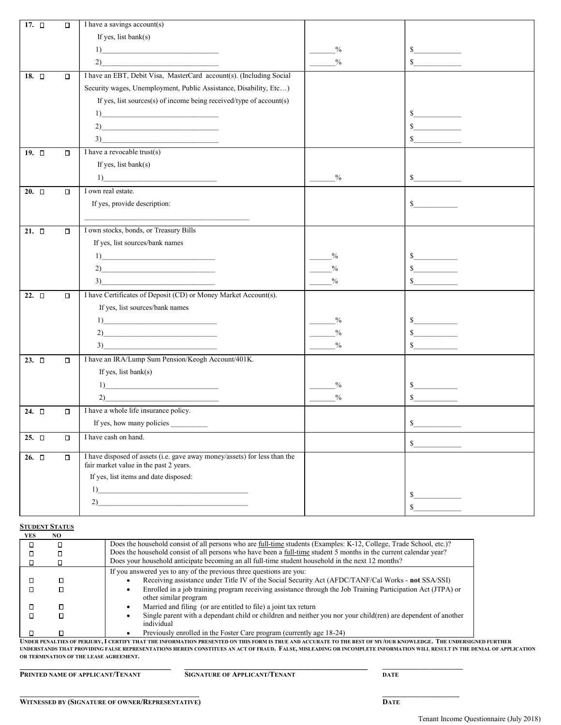| 17. $\square$ | $\Box$ | I have a savings account(s)                                                                                                                                                                                                                                                                                                                                                       |               |                                |
|---------------|--------|-----------------------------------------------------------------------------------------------------------------------------------------------------------------------------------------------------------------------------------------------------------------------------------------------------------------------------------------------------------------------------------|---------------|--------------------------------|
|               |        | If yes, list bank(s)                                                                                                                                                                                                                                                                                                                                                              |               |                                |
|               |        | $\boxed{1}$                                                                                                                                                                                                                                                                                                                                                                       | $\frac{0}{0}$ | S                              |
|               |        | 2)                                                                                                                                                                                                                                                                                                                                                                                | $\frac{0}{0}$ | $\mathbb{S}$                   |
| 18. $\square$ | $\Box$ | I have an EBT, Debit Visa, MasterCard account(s). (Including Social                                                                                                                                                                                                                                                                                                               |               |                                |
|               |        | Security wages, Unemployment, Public Assistance, Disability, Etc)                                                                                                                                                                                                                                                                                                                 |               |                                |
|               |        | If yes, list sources(s) of income being received/type of $account(s)$                                                                                                                                                                                                                                                                                                             |               |                                |
|               |        | $\begin{tabular}{ c c c c } \hline \quad \quad & \quad \quad & \quad \quad & \quad \quad \\ \hline \end{tabular}$                                                                                                                                                                                                                                                                 |               | $\sim$                         |
|               |        | 2)                                                                                                                                                                                                                                                                                                                                                                                |               | \$                             |
|               |        | $\begin{array}{c} \hline \text{3)} \end{array}$                                                                                                                                                                                                                                                                                                                                   |               | \$                             |
| 19. $\square$ | $\Box$ | I have a revocable trust(s)                                                                                                                                                                                                                                                                                                                                                       |               |                                |
|               |        | If yes, list bank(s)                                                                                                                                                                                                                                                                                                                                                              |               |                                |
|               |        | 1)                                                                                                                                                                                                                                                                                                                                                                                | $\frac{0}{0}$ | s                              |
| $20. \square$ | $\Box$ | I own real estate.                                                                                                                                                                                                                                                                                                                                                                |               |                                |
|               |        | If yes, provide description:                                                                                                                                                                                                                                                                                                                                                      |               | $\mathbb{S}$                   |
|               |        |                                                                                                                                                                                                                                                                                                                                                                                   |               |                                |
| $21. \square$ | $\Box$ | I own stocks, bonds, or Treasury Bills                                                                                                                                                                                                                                                                                                                                            |               |                                |
|               |        | If yes, list sources/bank names                                                                                                                                                                                                                                                                                                                                                   |               |                                |
|               |        | 1)                                                                                                                                                                                                                                                                                                                                                                                | $\%$          | $\frac{\text{S}}{\text{S}}$    |
|               |        | $2)$ and $\overline{\phantom{a}1}$                                                                                                                                                                                                                                                                                                                                                | $\frac{0}{0}$ | $\mathbb{S}$                   |
|               |        | 3)                                                                                                                                                                                                                                                                                                                                                                                | $\frac{0}{0}$ | \$                             |
| 22. $\square$ | $\Box$ | I have Certificates of Deposit (CD) or Money Market Account(s).                                                                                                                                                                                                                                                                                                                   |               |                                |
|               |        | If yes, list sources/bank names                                                                                                                                                                                                                                                                                                                                                   |               |                                |
|               |        | 1)                                                                                                                                                                                                                                                                                                                                                                                | $\frac{0}{0}$ | $\sim$                         |
|               |        | 2)                                                                                                                                                                                                                                                                                                                                                                                | $\frac{0}{0}$ | $\sim$                         |
|               |        | 3)                                                                                                                                                                                                                                                                                                                                                                                | $\frac{0}{0}$ | $\sim$                         |
| 23. $\square$ | $\Box$ | I have an IRA/Lump Sum Pension/Keogh Account/401K.                                                                                                                                                                                                                                                                                                                                |               |                                |
|               |        | If yes, list bank $(s)$                                                                                                                                                                                                                                                                                                                                                           |               |                                |
|               |        | $\boxed{1}$                                                                                                                                                                                                                                                                                                                                                                       | $\frac{0}{0}$ | S.<br><b>Contract Contract</b> |
|               |        | 2)                                                                                                                                                                                                                                                                                                                                                                                | $\frac{0}{0}$ | $\mathbb{S}$                   |
| 24. $\Box$    | П      | I have a whole life insurance policy.                                                                                                                                                                                                                                                                                                                                             |               |                                |
|               |        | If yes, how many policies                                                                                                                                                                                                                                                                                                                                                         |               | \$                             |
| $25. \square$ | О      | I have cash on hand.                                                                                                                                                                                                                                                                                                                                                              |               | $S_{-}$                        |
| 26. $\square$ | 0      | I have disposed of assets (i.e. gave away money/assets) for less than the<br>fair market value in the past 2 years.                                                                                                                                                                                                                                                               |               |                                |
|               |        | If yes, list items and date disposed:                                                                                                                                                                                                                                                                                                                                             |               |                                |
|               |        |                                                                                                                                                                                                                                                                                                                                                                                   |               |                                |
|               |        | $\begin{picture}(20,10) \put(0,0){\vector(1,0){10}} \put(15,0){\vector(1,0){10}} \put(15,0){\vector(1,0){10}} \put(15,0){\vector(1,0){10}} \put(15,0){\vector(1,0){10}} \put(15,0){\vector(1,0){10}} \put(15,0){\vector(1,0){10}} \put(15,0){\vector(1,0){10}} \put(15,0){\vector(1,0){10}} \put(15,0){\vector(1,0){10}} \put(15,0){\vector(1,0){10}} \put(15,0){\vector(1$<br>2) |               | $S_{-}$                        |
|               |        |                                                                                                                                                                                                                                                                                                                                                                                   |               | $\mathbb{S}$                   |

#### STUDENT STATUS

| YES. | NO. |                                                                                                                                            |
|------|-----|--------------------------------------------------------------------------------------------------------------------------------------------|
|      |     | Does the household consist of all persons who are <u>full-time</u> students (Examples: K-12, College, Trade School, etc.)?                 |
|      |     | Does the household consist of all persons who have been a full-time student 5 months in the current calendar year?                         |
|      |     | Does your household anticipate becoming an all full-time student household in the next 12 months?                                          |
|      |     | If you answered yes to any of the previous three questions are you:                                                                        |
|      |     | Receiving assistance under Title IV of the Social Security Act (AFDC/TANF/Cal Works - not SSA/SSI)                                         |
|      |     | Enrolled in a job training program receiving assistance through the Job Training Participation Act (JTPA) or<br>٠<br>other similar program |
|      |     | Married and filing (or are entitled to file) a joint tax return                                                                            |
|      |     | Single parent with a dependant child or children and neither you nor your child(ren) are dependent of another<br>individual                |
|      |     | Previously enrolled in the Foster Care program (currently age 18-24)                                                                       |

UNDER PENALTIES OF PERJURY, I CERTIFY THAT THE INFORMATION PRESENTED ON THIS FORM IS TRUE AND ACCURATE TO THE BEST OF MY/OUR KNOWLEDGE. THE UNDERSIGNED FURTHER UNDERSTANDS THAT PROVIDING FALSE REPRESENTATIONS HEREIN CONSTITUES AN ACT OF FRAUD. FALSE, MISLEADING OR INCOMPLETE INFORMATION WILL RESULT IN THE DENIAL OF APPLICATION OR TERMINATION OF THE LEASE AGREEMENT.

 $\_$  , and the state of the state of the state of the state of the state of the state of the state of the state of the state of the state of the state of the state of the state of the state of the state of the state of the PRINTED NAME OF APPLICANT/TENANT SIGNATURE OF APPLICANT/TENANT DATE

 $\_$  , and the contribution of the contribution of  $\mathcal{L}_\mathbf{z}$  , and the contribution of  $\mathcal{L}_\mathbf{z}$  , and the contribution of  $\mathcal{L}_\mathbf{z}$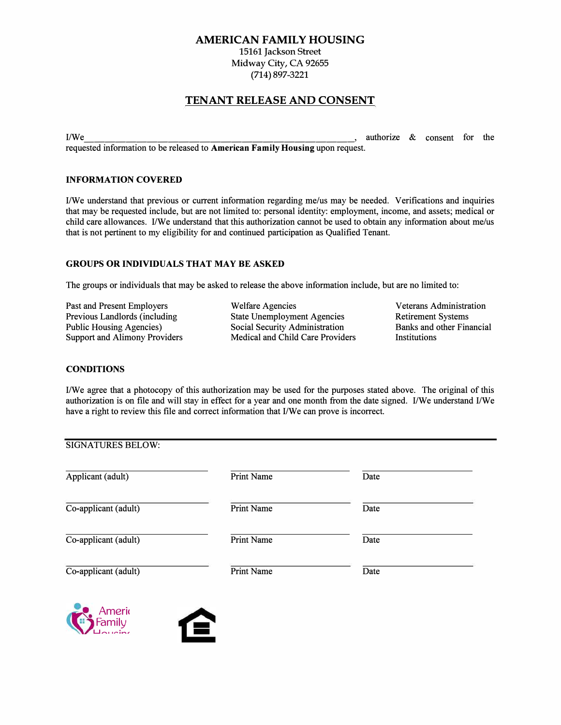#### AMERICAN FAMILY HOUSING

15161 Jackson Street Midway City, CA 92655 (714) 897-3221

# TENANT RELEASE AND CONSENT

I/We  $\blacksquare$  , authorize & consent for the requested information to be released to **American Family Housing** upon request.

#### **INFORMATION COVERED**

I/We understand that previous or current information regarding me/us may be needed. Verifications and inquiries that may be requested include, but are not limited to: personal identity: employment, income, and assets; medical or child care allowances. I/We understand that this authorization cannot be used to obtain any information about me/us that is not pertinent to my eligibility for and continued participation as Qualified Tenant.

#### **GROUPS OR INDIVIDUALS THAT MAY BE ASKED**

The groups or individuals that may be asked to release the above information include, but are no limited to:

Past and Present Employers Previous Landlords (including Public Housing Agencies) Support and Alimony Providers

Welfare Agencies State Unemployment Agencies Social Security Administration Medical and Child Care Providers

Veterans Administration Retirement Systems Banks and other Financial **Institutions** 

#### **CONDITIONS**

I/We agree that a photocopy of this authorization may be used for the purposes stated above. The original of this authorization is on file and will stay in effect for a year and one month from the date signed. I/We understand I/We have a right to review this file and correct information that I/We can prove is incorrect.

| Applicant (adult)    | Print Name | Date |  |
|----------------------|------------|------|--|
| Co-applicant (adult) | Print Name | Date |  |
| Co-applicant (adult) | Print Name | Date |  |
| Co-applicant (adult) | Print Name | Date |  |



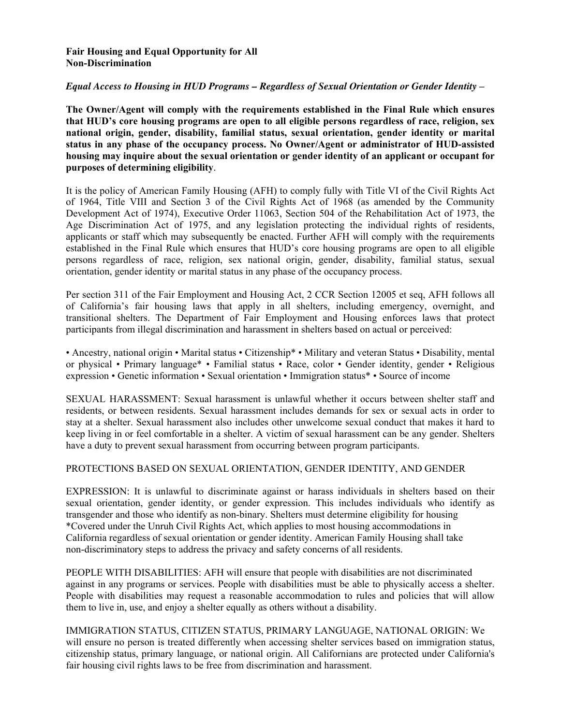#### **Fair Housing and Equal Opportunity for All Non-Discrimination**

#### *Equal Access to Housing in HUD Programs – Regardless of Sexual Orientation or Gender Identity* **–**

**The Owner/Agent will comply with the requirements established in the Final Rule which ensures that HUD's core housing programs are open to all eligible persons regardless of race, religion, sex national origin, gender, disability, familial status, sexual orientation, gender identity or marital status in any phase of the occupancy process. No Owner/Agent or administrator of HUD-assisted housing may inquire about the sexual orientation or gender identity of an applicant or occupant for purposes of determining eligibility**.

It is the policy of American Family Housing (AFH) to comply fully with Title VI of the Civil Rights Act of 1964, Title VIII and Section 3 of the Civil Rights Act of 1968 (as amended by the Community Development Act of 1974), Executive Order 11063, Section 504 of the Rehabilitation Act of 1973, the Age Discrimination Act of 1975, and any legislation protecting the individual rights of residents, applicants or staff which may subsequently be enacted. Further AFH will comply with the requirements established in the Final Rule which ensures that HUD's core housing programs are open to all eligible persons regardless of race, religion, sex national origin, gender, disability, familial status, sexual orientation, gender identity or marital status in any phase of the occupancy process.

Per section 311 of the Fair Employment and Housing Act, 2 CCR Section 12005 et seq, AFH follows all of California's fair housing laws that apply in all shelters, including emergency, overnight, and transitional shelters. The Department of Fair Employment and Housing enforces laws that protect participants from illegal discrimination and harassment in shelters based on actual or perceived:

• Ancestry, national origin • Marital status • Citizenship\* • Military and veteran Status • Disability, mental or physical • Primary language\* • Familial status • Race, color • Gender identity, gender • Religious expression • Genetic information • Sexual orientation • Immigration status\* • Source of income

SEXUAL HARASSMENT: Sexual harassment is unlawful whether it occurs between shelter staff and residents, or between residents. Sexual harassment includes demands for sex or sexual acts in order to stay at a shelter. Sexual harassment also includes other unwelcome sexual conduct that makes it hard to keep living in or feel comfortable in a shelter. A victim of sexual harassment can be any gender. Shelters have a duty to prevent sexual harassment from occurring between program participants.

#### PROTECTIONS BASED ON SEXUAL ORIENTATION, GENDER IDENTITY, AND GENDER

EXPRESSION: It is unlawful to discriminate against or harass individuals in shelters based on their sexual orientation, gender identity, or gender expression. This includes individuals who identify as transgender and those who identify as non-binary. Shelters must determine eligibility for housing \*Covered under the Unruh Civil Rights Act, which applies to most housing accommodations in California regardless of sexual orientation or gender identity. American Family Housing shall take non-discriminatory steps to address the privacy and safety concerns of all residents.

PEOPLE WITH DISABILITIES: AFH will ensure that people with disabilities are not discriminated against in any programs or services. People with disabilities must be able to physically access a shelter. People with disabilities may request a reasonable accommodation to rules and policies that will allow them to live in, use, and enjoy a shelter equally as others without a disability.

IMMIGRATION STATUS, CITIZEN STATUS, PRIMARY LANGUAGE, NATIONAL ORIGIN: We will ensure no person is treated differently when accessing shelter services based on immigration status, citizenship status, primary language, or national origin. All Californians are protected under California's fair housing civil rights laws to be free from discrimination and harassment.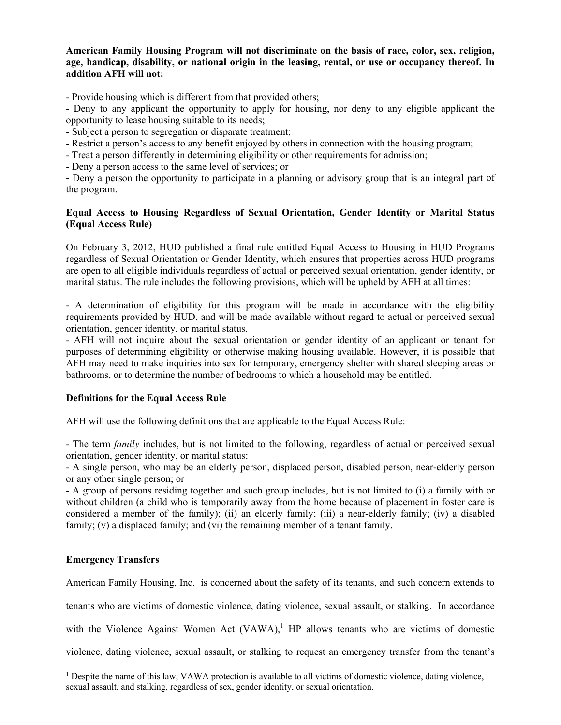**American Family Housing Program will not discriminate on the basis of race, color, sex, religion, age, handicap, disability, or national origin in the leasing, rental, or use or occupancy thereof. In addition AFH will not:** 

- Provide housing which is different from that provided others;

- Deny to any applicant the opportunity to apply for housing, nor deny to any eligible applicant the opportunity to lease housing suitable to its needs;

- Subject a person to segregation or disparate treatment;

- Restrict a person's access to any benefit enjoyed by others in connection with the housing program;

- Treat a person differently in determining eligibility or other requirements for admission;

- Deny a person access to the same level of services; or

- Deny a person the opportunity to participate in a planning or advisory group that is an integral part of the program.

#### **Equal Access to Housing Regardless of Sexual Orientation, Gender Identity or Marital Status (Equal Access Rule)**

On February 3, 2012, HUD published a final rule entitled Equal Access to Housing in HUD Programs regardless of Sexual Orientation or Gender Identity, which ensures that properties across HUD programs are open to all eligible individuals regardless of actual or perceived sexual orientation, gender identity, or marital status. The rule includes the following provisions, which will be upheld by AFH at all times:

- A determination of eligibility for this program will be made in accordance with the eligibility requirements provided by HUD, and will be made available without regard to actual or perceived sexual orientation, gender identity, or marital status.

- AFH will not inquire about the sexual orientation or gender identity of an applicant or tenant for purposes of determining eligibility or otherwise making housing available. However, it is possible that AFH may need to make inquiries into sex for temporary, emergency shelter with shared sleeping areas or bathrooms, or to determine the number of bedrooms to which a household may be entitled.

#### **Definitions for the Equal Access Rule**

AFH will use the following definitions that are applicable to the Equal Access Rule:

- The term *family* includes, but is not limited to the following, regardless of actual or perceived sexual orientation, gender identity, or marital status:

- A single person, who may be an elderly person, displaced person, disabled person, near-elderly person or any other single person; or

- A group of persons residing together and such group includes, but is not limited to (i) a family with or without children (a child who is temporarily away from the home because of placement in foster care is considered a member of the family); (ii) an elderly family; (iii) a near-elderly family; (iv) a disabled family; (v) a displaced family; and (vi) the remaining member of a tenant family.

#### **Emergency Transfers**

American Family Housing, Inc. is concerned about the safety of its tenants, and such concern extends to

tenants who are victims of domestic violence, dating violence, sexual assault, or stalking. In accordance

with the Violence Against Women Act  $(VAWA)^1$  HP allows tenants who are victims of domestic

violence, dating violence, sexual assault, or stalking to request an emergency transfer from the tenant's

<sup>&</sup>lt;sup>1</sup> Despite the name of this law, VAWA protection is available to all victims of domestic violence, dating violence, sexual assault, and stalking, regardless of sex, gender identity, or sexual orientation.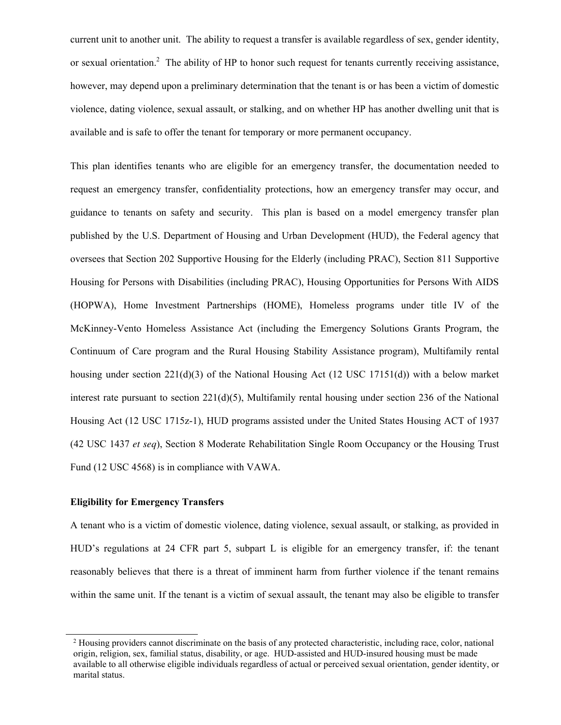current unit to another unit. The ability to request a transfer is available regardless of sex, gender identity, or sexual orientation.<sup>2</sup> The ability of HP to honor such request for tenants currently receiving assistance, however, may depend upon a preliminary determination that the tenant is or has been a victim of domestic violence, dating violence, sexual assault, or stalking, and on whether HP has another dwelling unit that is available and is safe to offer the tenant for temporary or more permanent occupancy.

This plan identifies tenants who are eligible for an emergency transfer, the documentation needed to request an emergency transfer, confidentiality protections, how an emergency transfer may occur, and guidance to tenants on safety and security. This plan is based on a model emergency transfer plan published by the U.S. Department of Housing and Urban Development (HUD), the Federal agency that oversees that Section 202 Supportive Housing for the Elderly (including PRAC), Section 811 Supportive Housing for Persons with Disabilities (including PRAC), Housing Opportunities for Persons With AIDS (HOPWA), Home Investment Partnerships (HOME), Homeless programs under title IV of the McKinney-Vento Homeless Assistance Act (including the Emergency Solutions Grants Program, the Continuum of Care program and the Rural Housing Stability Assistance program), Multifamily rental housing under section 221(d)(3) of the National Housing Act (12 USC 17151(d)) with a below market interest rate pursuant to section  $221(d)(5)$ , Multifamily rental housing under section 236 of the National Housing Act (12 USC 1715z-1), HUD programs assisted under the United States Housing ACT of 1937 (42 USC 1437 *et seq*), Section 8 Moderate Rehabilitation Single Room Occupancy or the Housing Trust Fund (12 USC 4568) is in compliance with VAWA.

#### **Eligibility for Emergency Transfers**

A tenant who is a victim of domestic violence, dating violence, sexual assault, or stalking, as provided in HUD's regulations at 24 CFR part 5, subpart L is eligible for an emergency transfer, if: the tenant reasonably believes that there is a threat of imminent harm from further violence if the tenant remains within the same unit. If the tenant is a victim of sexual assault, the tenant may also be eligible to transfer

<sup>&</sup>lt;sup>2</sup> Housing providers cannot discriminate on the basis of any protected characteristic, including race, color, national origin, religion, sex, familial status, disability, or age. HUD-assisted and HUD-insured housing must be made available to all otherwise eligible individuals regardless of actual or perceived sexual orientation, gender identity, or marital status.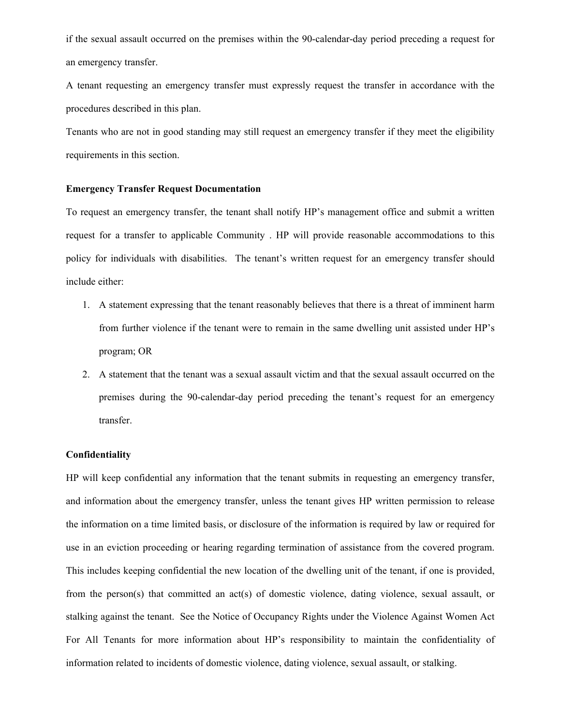if the sexual assault occurred on the premises within the 90-calendar-day period preceding a request for an emergency transfer.

A tenant requesting an emergency transfer must expressly request the transfer in accordance with the procedures described in this plan.

Tenants who are not in good standing may still request an emergency transfer if they meet the eligibility requirements in this section.

#### **Emergency Transfer Request Documentation**

To request an emergency transfer, the tenant shall notify HP's management office and submit a written request for a transfer to applicable Community . HP will provide reasonable accommodations to this policy for individuals with disabilities. The tenant's written request for an emergency transfer should include either:

- 1. A statement expressing that the tenant reasonably believes that there is a threat of imminent harm from further violence if the tenant were to remain in the same dwelling unit assisted under HP's program; OR
- 2. A statement that the tenant was a sexual assault victim and that the sexual assault occurred on the premises during the 90-calendar-day period preceding the tenant's request for an emergency transfer.

#### **Confidentiality**

HP will keep confidential any information that the tenant submits in requesting an emergency transfer, and information about the emergency transfer, unless the tenant gives HP written permission to release the information on a time limited basis, or disclosure of the information is required by law or required for use in an eviction proceeding or hearing regarding termination of assistance from the covered program. This includes keeping confidential the new location of the dwelling unit of the tenant, if one is provided, from the person(s) that committed an act(s) of domestic violence, dating violence, sexual assault, or stalking against the tenant. See the Notice of Occupancy Rights under the Violence Against Women Act For All Tenants for more information about HP's responsibility to maintain the confidentiality of information related to incidents of domestic violence, dating violence, sexual assault, or stalking.